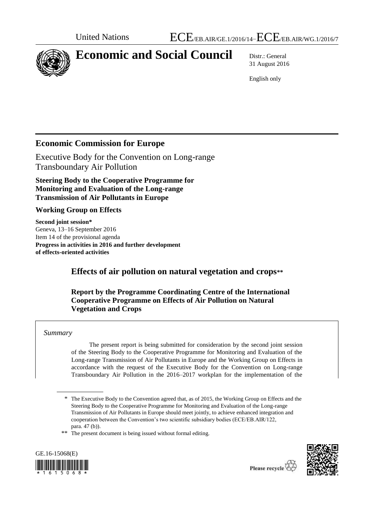

# **Economic and Social Council** Distr.: General

31 August 2016

English only

# **Economic Commission for Europe**

Executive Body for the Convention on Long-range Transboundary Air Pollution

**Steering Body to the Cooperative Programme for Monitoring and Evaluation of the Long-range Transmission of Air Pollutants in Europe** 

### **Working Group on Effects**

**Second joint session\*** Geneva, 13–16 September 2016 Item 14 of the provisional agenda **Progress in activities in 2016 and further development of effects-oriented activities**

# **Effects of air pollution on natural vegetation and crops\*\***

### **Report by the Programme Coordinating Centre of the International Cooperative Programme on Effects of Air Pollution on Natural Vegetation and Crops**

#### *Summary*

The present report is being submitted for consideration by the second joint session of the Steering Body to the Cooperative Programme for Monitoring and Evaluation of the Long-range Transmission of Air Pollutants in Europe and the Working Group on Effects in accordance with the request of the Executive Body for the Convention on Long-range Transboundary Air Pollution in the 2016–2017 workplan for the implementation of the

\*\* The present document is being issued without formal editing.





<sup>\*</sup> The Executive Body to the Convention agreed that, as of 2015, the Working Group on Effects and the Steering Body to the Cooperative Programme for Monitoring and Evaluation of the Long-range Transmission of Air Pollutants in Europe should meet jointly, to achieve enhanced integration and cooperation between the Convention's two scientific subsidiary bodies (ECE/EB.AIR/122, para. 47 (b)).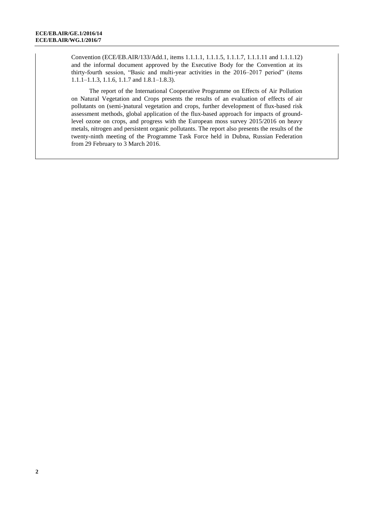Convention (ECE/EB.AIR/133/Add.1, items 1.1.1.1, 1.1.1.5, 1.1.1.7, 1.1.1.11 and 1.1.1.12) and the informal document approved by the Executive Body for the Convention at its thirty-fourth session, "Basic and multi-year activities in the 2016–2017 period" (items 1.1.1–1.1.3, 1.1.6, 1.1.7 and 1.8.1–1.8.3).

The report of the International Cooperative Programme on Effects of Air Pollution on Natural Vegetation and Crops presents the results of an evaluation of effects of air pollutants on (semi-)natural vegetation and crops, further development of flux-based risk assessment methods, global application of the flux-based approach for impacts of groundlevel ozone on crops, and progress with the European moss survey 2015/2016 on heavy metals, nitrogen and persistent organic pollutants. The report also presents the results of the twenty-ninth meeting of the Programme Task Force held in Dubna, Russian Federation from 29 February to 3 March 2016.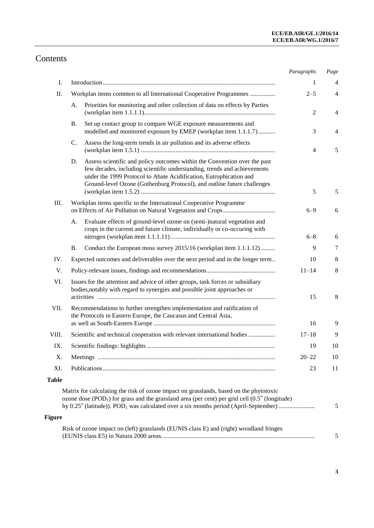# Contents

|               |                                                                                                                                                                                                                                                                                                              | Paragraphs     | Page |
|---------------|--------------------------------------------------------------------------------------------------------------------------------------------------------------------------------------------------------------------------------------------------------------------------------------------------------------|----------------|------|
| I.            |                                                                                                                                                                                                                                                                                                              | 1              | 4    |
| Π.            | Workplan items common to all International Cooperative Programmes                                                                                                                                                                                                                                            | $2 - 5$        | 4    |
|               | Priorities for monitoring and other collection of data on effects by Parties<br>А.                                                                                                                                                                                                                           | $\overline{2}$ | 4    |
|               | Set up contact group to compare WGE exposure measurements and<br><b>B.</b><br>modelled and monitored exposure by EMEP (workplan item 1.1.1.7)                                                                                                                                                                | 3              | 4    |
|               | $\mathbf{C}$ .<br>Assess the long-term trends in air pollution and its adverse effects                                                                                                                                                                                                                       | 4              | 5    |
|               | Assess scientific and policy outcomes within the Convention over the past<br>D.<br>few decades, including scientific understanding, trends and achievements<br>under the 1999 Protocol to Abate Acidification, Eutrophication and<br>Ground-level Ozone (Gothenburg Protocol), and outline future challenges | 5              | 5    |
| Ш.            | Workplan items specific to the International Cooperative Programme                                                                                                                                                                                                                                           | $6 - 9$        | 6    |
|               | Evaluate effects of ground-level ozone on (semi-)natural vegetation and<br>А.<br>crops in the current and future climate, individually or co-occuring with                                                                                                                                                   | $6 - 8$        | 6    |
|               | Conduct the European moss survey 2015/16 (workplan item 1.1.1.12)<br>Β.                                                                                                                                                                                                                                      | 9              | 7    |
| IV.           | Expected outcomes and deliverables over the next period and in the longer term                                                                                                                                                                                                                               | 10             | 8    |
| V.            |                                                                                                                                                                                                                                                                                                              | $11 - 14$      | 8    |
| VI.           | Issues for the attention and advice of other groups, task forces or subsidiary<br>bodies, notably with regard to synergies and possible joint approaches or                                                                                                                                                  | 15             | 8    |
| VII.          | Recommendations to further strengthen implementation and ratification of<br>the Protocols in Eastern Europe, the Caucasus and Central Asia,                                                                                                                                                                  |                |      |
|               |                                                                                                                                                                                                                                                                                                              | 16             | 9    |
| VIII.         | Scientific and technical cooperation with relevant international bodies                                                                                                                                                                                                                                      | $17 - 18$      | 9    |
| IX.           |                                                                                                                                                                                                                                                                                                              | 19             | 10   |
| Χ.            |                                                                                                                                                                                                                                                                                                              | $20 - 22$      | 10   |
| XI.           |                                                                                                                                                                                                                                                                                                              | 23             | 11   |
| <b>Table</b>  | Matrix for calculating the risk of ozone impact on grasslands, based on the phytotoxic<br>ozone dose $(POD1)$ for grass and the grassland area (per cent) per grid cell $(0.5^{\circ})$ (longitude)<br>by 0.25° (latitude)). POD <sub>1</sub> was calculated over a six months period (April-September)      |                | 5    |
| <b>Figure</b> |                                                                                                                                                                                                                                                                                                              |                |      |
|               | Risk of ozone impact on (left) grasslands (EUNIS class E) and (right) woodland fringes                                                                                                                                                                                                                       |                | 5    |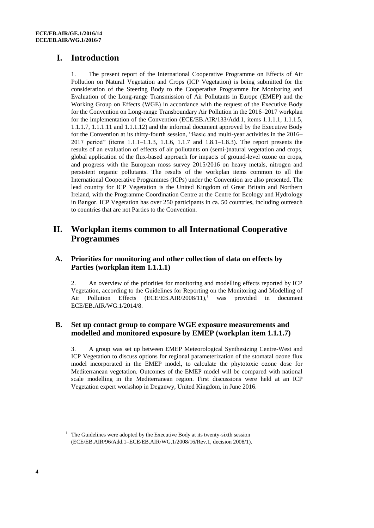# **I. Introduction**

1. The present report of the International Cooperative Programme on Effects of Air Pollution on Natural Vegetation and Crops (ICP Vegetation) is being submitted for the consideration of the Steering Body to the Cooperative Programme for Monitoring and Evaluation of the Long-range Transmission of Air Pollutants in Europe (EMEP) and the Working Group on Effects (WGE) in accordance with the request of the Executive Body for the Convention on Long-range Transboundary Air Pollution in the 2016–2017 workplan for the implementation of the Convention (ECE/EB.AIR/133/Add.1, items 1.1.1.1, 1.1.1.5, 1.1.1.7, 1.1.1.11 and 1.1.1.12) and the informal document approved by the Executive Body for the Convention at its thirty-fourth session, "Basic and multi-year activities in the 2016– 2017 period" (items 1.1.1–1.1.3, 1.1.6, 1.1.7 and 1.8.1–1.8.3). The report presents the results of an evaluation of effects of air pollutants on (semi-)natural vegetation and crops, global application of the flux-based approach for impacts of ground-level ozone on crops, and progress with the European moss survey 2015/2016 on heavy metals, nitrogen and persistent organic pollutants. The results of the workplan items common to all the International Cooperative Programmes (ICPs) under the Convention are also presented. The lead country for ICP Vegetation is the United Kingdom of Great Britain and Northern Ireland, with the Programme Coordination Centre at the Centre for Ecology and Hydrology in Bangor. ICP Vegetation has over 250 participants in ca. 50 countries, including outreach to countries that are not Parties to the Convention.

### **II. Workplan items common to all International Cooperative Programmes**

### **A. Priorities for monitoring and other collection of data on effects by Parties (workplan item 1.1.1.1)**

2. An overview of the priorities for monitoring and modelling effects reported by ICP Vegetation, according to the Guidelines for Reporting on the Monitoring and Modelling of Air Pollution Effects (ECE/EB.AIR/2008/11),<sup>1</sup> was provided in document ECE/EB.AIR/WG.1/2014/8.

#### **B. Set up contact group to compare WGE exposure measurements and modelled and monitored exposure by EMEP (workplan item 1.1.1.7)**

3. A group was set up between EMEP Meteorological Synthesizing Centre-West and ICP Vegetation to discuss options for regional parameterization of the stomatal ozone flux model incorporated in the EMEP model, to calculate the phytotoxic ozone dose for Mediterranean vegetation. Outcomes of the EMEP model will be compared with national scale modelling in the Mediterranean region. First discussions were held at an ICP Vegetation expert workshop in Deganwy, United Kingdom, in June 2016.

The Guidelines were adopted by the Executive Body at its twenty-sixth session (ECE/EB.AIR/96/Add.1–ECE/EB.AIR/WG.1/2008/16/Rev.1, decision 2008/1).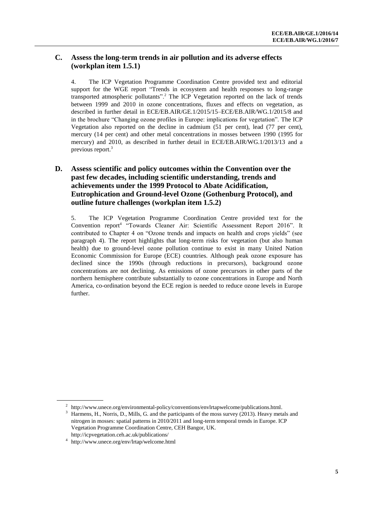#### **C. Assess the long-term trends in air pollution and its adverse effects (workplan item 1.5.1)**

4. The ICP Vegetation Programme Coordination Centre provided text and editorial support for the WGE report "Trends in ecosystem and health responses to long-range transported atmospheric pollutants".<sup>2</sup> The ICP Vegetation reported on the lack of trends between 1999 and 2010 in ozone concentrations, fluxes and effects on vegetation, as described in further detail in ECE/EB.AIR/GE.1/2015/15–ECE/EB.AIR/WG.1/2015/8 and in the brochure "Changing ozone profiles in Europe: implications for vegetation". The ICP Vegetation also reported on the decline in cadmium (51 per cent), lead (77 per cent), mercury (14 per cent) and other metal concentrations in mosses between 1990 (1995 for mercury) and 2010, as described in further detail in ECE/EB.AIR/WG.1/2013/13 and a previous report. 3

### **D. Assess scientific and policy outcomes within the Convention over the past few decades, including scientific understanding, trends and achievements under the 1999 Protocol to Abate Acidification, Eutrophication and Ground-level Ozone (Gothenburg Protocol), and outline future challenges (workplan item 1.5.2)**

5. The ICP Vegetation Programme Coordination Centre provided text for the Convention report<sup>4</sup> "Towards Cleaner Air: Scientific Assessment Report 2016". It contributed to Chapter 4 on "Ozone trends and impacts on health and crops yields" (see paragraph 4). The report highlights that long-term risks for vegetation (but also human health) due to ground-level ozone pollution continue to exist in many United Nation Economic Commission for Europe (ECE) countries. Although peak ozone exposure has declined since the 1990s (through reductions in precursors), background ozone concentrations are not declining. As emissions of ozone precursors in other parts of the northern hemisphere contribute substantially to ozone concentrations in Europe and North America, co-ordination beyond the ECE region is needed to reduce ozone levels in Europe further.

<sup>&</sup>lt;sup>2</sup> http://www.unece.org/environmental-policy/conventions/envlrtapwelcome/publications.html.

<sup>3</sup> Harmens, H., Norris, D., Mills, G. and the participants of the moss survey (2013). Heavy metals and nitrogen in mosses: spatial patterns in 2010/2011 and long-term temporal trends in Europe. ICP Vegetation Programme Coordination Centre, CEH Bangor, UK. http://icpvegetation.ceh.ac.uk/publications/

<sup>4</sup> <http://www.unece.org/env/lrtap/welcome.html>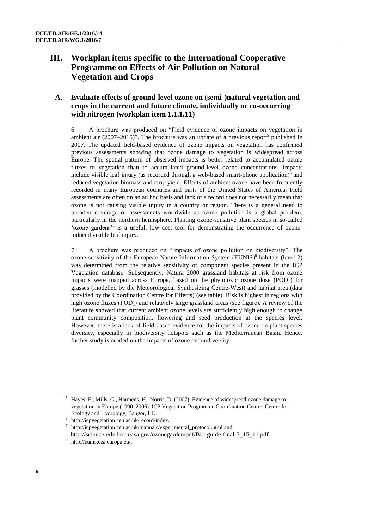# **III. Workplan items specific to the International Cooperative Programme on Effects of Air Pollution on Natural Vegetation and Crops**

#### **A. Evaluate effects of ground-level ozone on (semi-)natural vegetation and crops in the current and future climate, individually or co-occurring with nitrogen (workplan item 1.1.1.11)**

6. A brochure was produced on "Field evidence of ozone impacts on vegetation in ambient air  $(2007-2015)$ ". The brochure was an update of a previous report<sup>5</sup> published in 2007. The updated field-based evidence of ozone impacts on vegetation has confirmed previous assessments showing that ozone damage to vegetation is widespread across Europe. The spatial pattern of observed impacts is better related to accumulated ozone fluxes to vegetation than to accumulated ground-level ozone concentrations. Impacts include visible leaf injury (as recorded through a web-based smart-phone application)<sup>6</sup> and reduced vegetation biomass and crop yield. Effects of ambient ozone have been frequently recorded in many European countries and parts of the United States of America. Field assessments are often on an ad hoc basis and lack of a record does not necessarily mean that ozone is not causing visible injury in a country or region. There is a general need to broaden coverage of assessments worldwide as ozone pollution is a global problem, particularly in the northern hemisphere. Planting ozone-sensitive plant species in so-called 'ozone gardens'<sup>7</sup> is a useful, low cost tool for demonstrating the occurrence of ozoneinduced visible leaf injury.

7. A brochure was produced on "Impacts of ozone pollution on biodiversity". The ozone sensitivity of the European Nature Information System (EUNIS) 8 habitats (level 2) was determined from the relative sensitivity of component species present in the ICP Vegetation database. Subsequently, Natura 2000 grassland habitats at risk from ozone impacts were mapped across Europe, based on the phytotoxic ozone dose  $(POD<sub>1</sub>)$  for grasses (modelled by the Meteorological Synthesizing Centre-West) and habitat area (data provided by the Coordination Centre for Effects) (see table). Risk is highest in regions with high ozone fluxes  $(POD<sub>1</sub>)$  and relatively large grassland areas (see figure). A review of the literature showed that current ambient ozone levels are sufficiently high enough to change plant community composition, flowering and seed production at the species level. However, there is a lack of field-based evidence for the impacts of ozone on plant species diversity, especially in biodiversity hotspots such as the Mediterranean Basin. Hence, further study is needed on the impacts of ozone on biodiversity.

<sup>5</sup> Hayes, F., Mills, G., Harmens, H., Norris, D. (2007). Evidence of widespread ozone damage to vegetation in Europe (1990–2006). ICP Vegetation Programme Coordination Centre, Centre for Ecology and Hydrology, Bangor, UK.

<sup>6</sup> [http://icpvegetation.ceh.ac.uk/record/index.](http://icpvegetation.ceh.ac.uk/record/index) 

<sup>7</sup> [http://icpvegetation.ceh.ac.uk/manuals/experimental\\_protocol.html](http://icpvegetation.ceh.ac.uk/manuals/experimental_protocol.html) and

[http://science-edu.larc.nasa.gov/ozonegarden/pdf/Bio-guide-final-3\\_15\\_11.pdf](http://science-edu.larc.nasa.gov/ozonegarden/pdf/Bio-guide-final-3_15_11.pdf)

<sup>8</sup> [http://eunis.eea.europa.eu/.](http://eunis.eea.europa.eu/)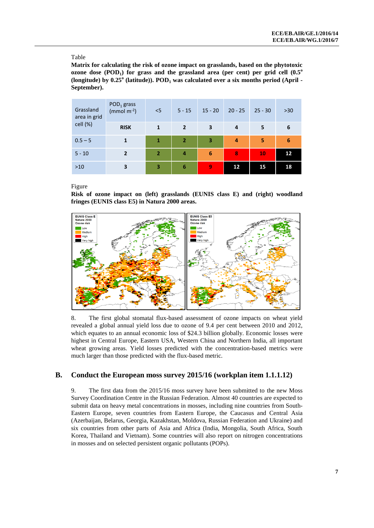#### Table

**Matrix for calculating the risk of ozone impact on grasslands, based on the phytotoxic ozone dose (POD1) for grass and the grassland area (per cent) per grid cell (0.5<sup>o</sup> (longitude) by 0.25<sup>o</sup> (latitude)). POD<sup>1</sup> was calculated over a six months period (April - September).**

| Grassland<br>area in grid | $POD1$ grass<br>(mmol $m^{-2}$ ) | < 5            | $5 - 15$       | $15 - 20$               | $20 - 25$ | $25 - 30$ | $>30$ |
|---------------------------|----------------------------------|----------------|----------------|-------------------------|-----------|-----------|-------|
| cell (%)                  | <b>RISK</b>                      | $\mathbf{1}$   | $\overline{2}$ | 3                       | 4         | 5         | 6     |
| $0.5 - 5$                 | 1                                | 1              | $\overline{2}$ | $\overline{\mathbf{3}}$ | 4         | 5         | 6     |
| $5 - 10$                  | $\overline{2}$                   | $\overline{2}$ | 4              | $6\phantom{1}6$         | 8         | 10        | 12    |
| $>10$                     | 3                                | 3              | 6              | 9                       | 12        | 15        | 18    |

Figure

**Risk of ozone impact on (left) grasslands (EUNIS class E) and (right) woodland fringes (EUNIS class E5) in Natura 2000 areas.** 



8. The first global stomatal flux-based assessment of ozone impacts on wheat yield revealed a global annual yield loss due to ozone of 9.4 per cent between 2010 and 2012, which equates to an annual economic loss of \$24.3 billion globally. Economic losses were highest in Central Europe, Eastern USA, Western China and Northern India, all important wheat growing areas. Yield losses predicted with the concentration-based metrics were much larger than those predicted with the flux-based metric.

#### **B. Conduct the European moss survey 2015/16 (workplan item 1.1.1.12)**

9. The first data from the 2015/16 moss survey have been submitted to the new Moss Survey Coordination Centre in the Russian Federation. Almost 40 countries are expected to submit data on heavy metal concentrations in mosses, including nine countries from South-Eastern Europe, seven countries from Eastern Europe, the Caucasus and Central Asia (Azerbaijan, Belarus, Georgia, Kazakhstan, Moldova, Russian Federation and Ukraine) and six countries from other parts of Asia and Africa (India, Mongolia, South Africa, South Korea, Thailand and Vietnam). Some countries will also report on nitrogen concentrations in mosses and on selected persistent organic pollutants (POPs).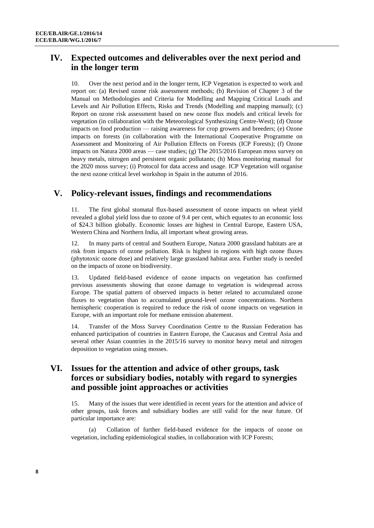# **IV. Expected outcomes and deliverables over the next period and in the longer term**

10. Over the next period and in the longer term, ICP Vegetation is expected to work and report on: (a) Revised ozone risk assessment methods; (b) Revision of Chapter 3 of the Manual on Methodologies and Criteria for Modelling and Mapping Critical Loads and Levels and Air Pollution Effects, Risks and Trends (Modelling and mapping manual); (c) Report on ozone risk assessment based on new ozone flux models and critical levels for vegetation (in collaboration with the Meteorological Synthesizing Centre-West); (d) Ozone impacts on food production — raising awareness for crop growers and breeders; (e) Ozone impacts on forests (in collaboration with the International Cooperative Programme on Assessment and Monitoring of Air Pollution Effects on Forests (ICP Forests); (f) Ozone impacts on Natura 2000 areas — case studies; (g) The 2015/2016 European moss survey on heavy metals, nitrogen and persistent organic pollutants; (h) Moss monitoring manual for the 2020 moss survey; (i) Protocol for data access and usage. ICP Vegetation will organise the next ozone critical level workshop in Spain in the autumn of 2016.

### **V. Policy-relevant issues, findings and recommendations**

The first global stomatal flux-based assessment of ozone impacts on wheat yield revealed a global yield loss due to ozone of 9.4 per cent, which equates to an economic loss of \$24.3 billion globally. Economic losses are highest in Central Europe, Eastern USA, Western China and Northern India, all important wheat growing areas.

12. In many parts of central and Southern Europe, Natura 2000 grassland habitats are at risk from impacts of ozone pollution. Risk is highest in regions with high ozone fluxes (phytotoxic ozone dose) and relatively large grassland habitat area. Further study is needed on the impacts of ozone on biodiversity.

13. Updated field-based evidence of ozone impacts on vegetation has confirmed previous assessments showing that ozone damage to vegetation is widespread across Europe. The spatial pattern of observed impacts is better related to accumulated ozone fluxes to vegetation than to accumulated ground-level ozone concentrations. Northern hemispheric cooperation is required to reduce the risk of ozone impacts on vegetation in Europe, with an important role for methane emission abatement.

14. Transfer of the Moss Survey Coordination Centre to the Russian Federation has enhanced participation of countries in Eastern Europe, the Caucasus and Central Asia and several other Asian countries in the 2015/16 survey to monitor heavy metal and nitrogen deposition to vegetation using mosses.

### **VI. Issues for the attention and advice of other groups, task forces or subsidiary bodies, notably with regard to synergies and possible joint approaches or activities**

15. Many of the issues that were identified in recent years for the attention and advice of other groups, task forces and subsidiary bodies are still valid for the near future. Of particular importance are:

(a) Collation of further field-based evidence for the impacts of ozone on vegetation, including epidemiological studies, in collaboration with ICP Forests;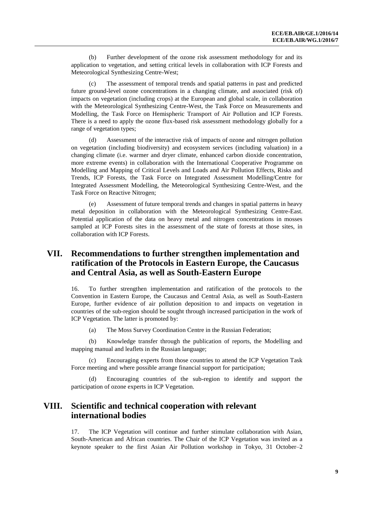(b) Further development of the ozone risk assessment methodology for and its application to vegetation, and setting critical levels in collaboration with ICP Forests and Meteorological Synthesizing Centre-West;

(c) The assessment of temporal trends and spatial patterns in past and predicted future ground-level ozone concentrations in a changing climate, and associated (risk of) impacts on vegetation (including crops) at the European and global scale, in collaboration with the Meteorological Synthesizing Centre-West, the Task Force on Measurements and Modelling, the Task Force on Hemispheric Transport of Air Pollution and ICP Forests. There is a need to apply the ozone flux-based risk assessment methodology globally for a range of vegetation types;

(d) Assessment of the interactive risk of impacts of ozone and nitrogen pollution on vegetation (including biodiversity) and ecosystem services (including valuation) in a changing climate (i.e. warmer and dryer climate, enhanced carbon dioxide concentration, more extreme events) in collaboration with the International Cooperative Programme on Modelling and Mapping of Critical Levels and Loads and Air Pollution Effects, Risks and Trends, ICP Forests, the Task Force on Integrated Assessment Modelling/Centre for Integrated Assessment Modelling, the Meteorological Synthesizing Centre-West, and the Task Force on Reactive Nitrogen;

(e) Assessment of future temporal trends and changes in spatial patterns in heavy metal deposition in collaboration with the Meteorological Synthesizing Centre-East. Potential application of the data on heavy metal and nitrogen concentrations in mosses sampled at ICP Forests sites in the assessment of the state of forests at those sites, in collaboration with ICP Forests.

### **VII. Recommendations to further strengthen implementation and ratification of the Protocols in Eastern Europe, the Caucasus and Central Asia, as well as South-Eastern Europe**

16. To further strengthen implementation and ratification of the protocols to the Convention in Eastern Europe, the Caucasus and Central Asia, as well as South-Eastern Europe, further evidence of air pollution deposition to and impacts on vegetation in countries of the sub-region should be sought through increased participation in the work of ICP Vegetation. The latter is promoted by:

(a) The Moss Survey Coordination Centre in the Russian Federation;

(b) Knowledge transfer through the publication of reports, the Modelling and mapping manual and leaflets in the Russian language;

Encouraging experts from those countries to attend the ICP Vegetation Task Force meeting and where possible arrange financial support for participation;

(d) Encouraging countries of the sub-region to identify and support the participation of ozone experts in ICP Vegetation.

### **VIII. Scientific and technical cooperation with relevant international bodies**

17. The ICP Vegetation will continue and further stimulate collaboration with Asian, South-American and African countries. The Chair of the ICP Vegetation was invited as a keynote speaker to the first Asian Air Pollution workshop in Tokyo, 31 October–2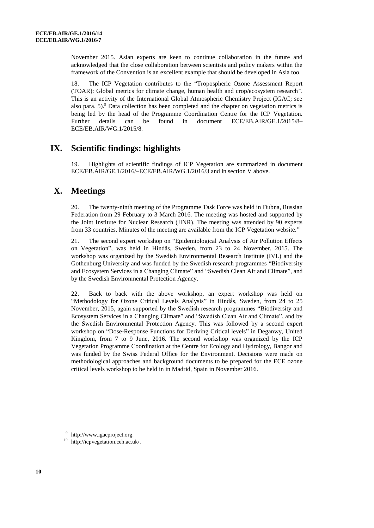November 2015. Asian experts are keen to continue collaboration in the future and acknowledged that the close collaboration between scientists and policy makers within the framework of the Convention is an excellent example that should be developed in Asia too.

18. The ICP Vegetation contributes to the "Tropospheric Ozone Assessment Report (TOAR): Global metrics for climate change, human health and crop/ecosystem research". This is an activity of the International Global Atmospheric Chemistry Project (IGAC; see also para.  $5$ ).<sup>9</sup> Data collection has been completed and the chapter on vegetation metrics is being led by the head of the Programme Coordination Centre for the ICP Vegetation. Further details can be found in document ECE/EB.AIR/GE.1/2015/8– ECE/EB.AIR/WG.1/2015/8.

# **IX. Scientific findings: highlights**

Highlights of scientific findings of ICP Vegetation are summarized in document ECE/EB.AIR/GE.1/2016/–ECE/EB.AIR/WG.1/2016/3 and in section V above.

### **X. Meetings**

20. The twenty-ninth meeting of the Programme Task Force was held in Dubna, Russian Federation from 29 February to 3 March 2016. The meeting was hosted and supported by the Joint Institute for Nuclear Research (JINR). The meeting was attended by 90 experts from 33 countries. Minutes of the meeting are available from the ICP Vegetation website.<sup>10</sup>

21. The second expert workshop on "Epidemiological Analysis of Air Pollution Effects on Vegetation", was held in Hindås, Sweden, from 23 to 24 November, 2015. The workshop was organized by the Swedish Environmental Research Institute (IVL) and the Gothenburg University and was funded by the Swedish research programmes "Biodiversity and Ecosystem Services in a Changing Climate" and "Swedish Clean Air and Climate", and by the Swedish Environmental Protection Agency.

22. Back to back with the above workshop, an expert workshop was held on "Methodology for Ozone Critical Levels Analysis" in Hindås, Sweden, from 24 to 25 November, 2015, again supported by the Swedish research programmes "Biodiversity and Ecosystem Services in a Changing Climate" and "Swedish Clean Air and Climate", and by the Swedish Environmental Protection Agency. This was followed by a second expert workshop on "Dose-Response Functions for Deriving Critical levels" in Deganwy, United Kingdom, from 7 to 9 June, 2016. The second workshop was organized by the ICP Vegetation Programme Coordination at the Centre for Ecology and Hydrology, Bangor and was funded by the Swiss Federal Office for the Environment. Decisions were made on methodological approaches and background documents to be prepared for the ECE ozone critical levels workshop to be held in in Madrid, Spain in November 2016.

<sup>9</sup> [http://www.igacproject.org.](http://www.igacproject.org/)

<sup>10</sup> [http://icpvegetation.ceh.ac.uk/.](http://icpvegetation.ceh.ac.uk/)